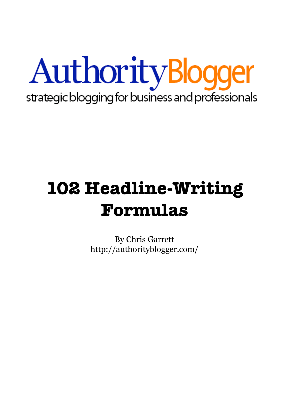

# **102 Headline-Writing Formulas**

By Chris Garrett <http://authorityblogger.com/>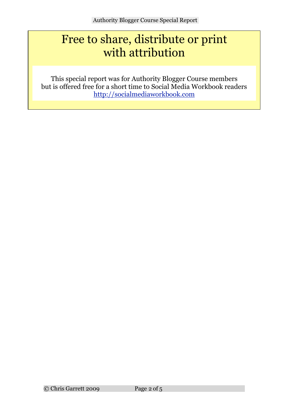# Free to share, distribute or print with attribution

8. but is offered free for a short time to Social Media Workbook readers This special report was for Authority Blogger Course members <http://socialmediaworkbook.com>

11.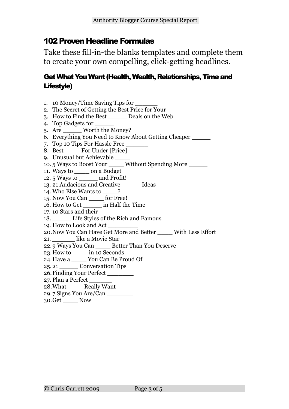# 102 Proven Headline Formulas

Take these fill-in-the blanks templates and complete them to create your own compelling, click-getting headlines.

### Get What You Want (Health, Wealth, Relationships, Time and Lifestyle)

- 1. 10 Money/Time Saving Tips for \_\_\_\_\_\_\_\_
- 2. The Secret of Getting the Best Price for Your
- 3. How to Find the Best \_\_\_\_\_ Deals on the Web
- 4. Top Gadgets for \_\_\_\_\_
- 5. Are \_\_\_\_\_ Worth the Money?
- 6. Everything You Need to Know About Getting Cheaper \_\_\_\_\_
- 7. Top 10 Tips For Hassle Free
- 8. Best For Under [Price]
- 9. Unusual but Achievable
- 10. 5 Ways to Boost Your Without Spending More
- 11. Ways to on a Budget
- 12. 5 Ways to \_\_\_\_\_ and Profit!
- 13. 21 Audacious and Creative \_\_\_\_\_ Ideas
- 14. Who Else Wants to ?
- 15. Now You Can \_\_\_\_ for Free!
- 16. How to Get in Half the Time
- 17. 10 Stars and their \_\_\_\_
- 18. Life Styles of the Rich and Famous
- 19. How to Look and Act \_\_\_\_\_\_\_\_
- 20.Now You Can Have Get More and Better \_\_\_\_ With Less Effort
- 21. like a Movie Star
- 22.9 Ways You Can \_\_\_\_ Better Than You Deserve
- 23.How to \_\_\_\_ in 10 Seconds
- 24.Have a \_\_\_\_ You Can Be Proud Of
- 25. 21 \_\_\_\_\_ Conversation Tips
- 26.Finding Your Perfect \_\_\_\_\_\_\_
- 27. Plan a Perfect
- 28.What \_\_\_\_ Really Want
- 29.7 Signs You Are/Can \_\_\_\_\_\_\_
- 30.Get \_\_\_\_ Now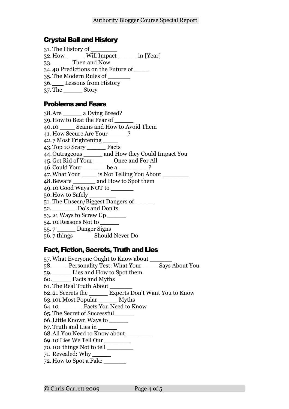#### Crystal Ball and History

| 31. The History of                          |  |
|---------------------------------------------|--|
| 32. How ______ Will Impact ______ in [Year] |  |
| 33. Then and Now                            |  |
| 34.40 Predictions on the Future of          |  |
| 35. The Modern Rules of                     |  |
| 36. Lessons from History                    |  |
|                                             |  |

# Problems and Fears

| 38.Are ________ a Dying Breed?                       |  |  |  |
|------------------------------------------------------|--|--|--|
| 39. How to Beat the Fear of _                        |  |  |  |
| 40.10 Scams and How to Avoid Them                    |  |  |  |
| 41. How Secure Are Your ______?                      |  |  |  |
| 42.7 Most Frightening ____                           |  |  |  |
| 43. Top 10 Scary _______ Facts                       |  |  |  |
| 44. Outrageous ______ and How they Could Impact You  |  |  |  |
| 45. Get Rid of Your ________ Once and For All        |  |  |  |
| 46. Could Your ________ be a ________?               |  |  |  |
| 47. What Your ______ is Not Telling You About ______ |  |  |  |
| 48. Beware _________ and How to Spot them            |  |  |  |
| 49.10 Good Ways NOT to _______                       |  |  |  |
| 50.How to Safely ________                            |  |  |  |
| 51. The Unseen/Biggest Dangers of                    |  |  |  |
| 52. Do's and Don'ts                                  |  |  |  |
| 53.21 Ways to Screw Up ______                        |  |  |  |
| 54.10 Reasons Not to _                               |  |  |  |
| 55.7 Danger Signs                                    |  |  |  |
|                                                      |  |  |  |

#### 56. 7 things \_\_\_\_\_ Should Never Do

# Fact, Fiction, Secrets, Truth and Lies

| 57. What Everyone Ought to Know about                |  |  |
|------------------------------------------------------|--|--|
| 58. Personality Test: What Your Says About You       |  |  |
| 59. Lies and How to Spot them                        |  |  |
| 60. Facts and Myths                                  |  |  |
| 61. The Real Truth About                             |  |  |
| 62.21 Secrets the Experts Don't Want You to Know     |  |  |
| 63.101 Most Popular _______ Myths                    |  |  |
| 64.10 Facts You Need to Know                         |  |  |
| 65. The Secret of Successful                         |  |  |
| 66. Little Known Ways to                             |  |  |
| 67. Truth and Lies in                                |  |  |
| 68.All You Need to Know about ______                 |  |  |
| 69.10 Lies We Tell Our                               |  |  |
| $70.101$ things Not to tell $\overline{\phantom{a}}$ |  |  |
| 71. Revealed: Why                                    |  |  |
| 72. How to Spot a Fake                               |  |  |